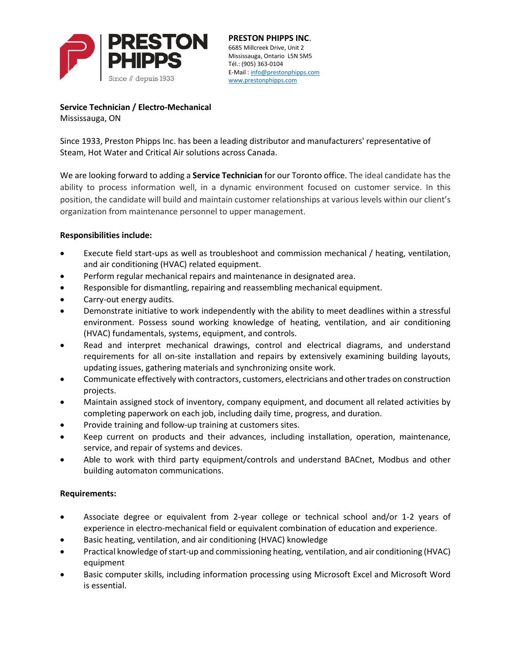

**PRESTON PHIPPS INC.**<br>6685 Millcreek Drive, Unit 2 Mississauga, Ontario L5N 5M5 Tél.: (905) 363-0104 E-Mail: info@prestonphipps.com www.prestonphipps.com

**Service Technician / Electro-Mechanical** Mississauga, ON

Since 1933, Preston Phipps Inc. has been a leading distributor and manufacturers' representative of Steam, Hot Water and Critical Air solutions across Canada.

We are looking forward to adding a **Service Technician** for our Toronto office. The ideal candidate has the ability to process information well, in a dynamic environment focused on customer service. In this position, the candidate will build and maintain customer relationships at various levels within our client's organization from maintenance personnel to upper management.

## **Responsibilities include:**

- Execute field start-ups as well as troubleshoot and commission mechanical / heating, ventilation, and air conditioning (HVAC) related equipment.
- Perform regular mechanical repairs and maintenance in designated area.
- Responsible for dismantling, repairing and reassembling mechanical equipment.
- Carry-out energy audits.
- Demonstrate initiative to work independently with the ability to meet deadlines within a stressful environment. Possess sound working knowledge of heating, ventilation, and air conditioning (HVAC) fundamentals, systems, equipment, and controls.
- Read and interpret mechanical drawings, control and electrical diagrams, and understand requirements for all on-site installation and repairs by extensively examining building layouts, updating issues, gathering materials and synchronizing onsite work.
- Communicate effectively with contractors, customers, electricians and other trades on construction projects.
- Maintain assigned stock of inventory, company equipment, and document all related activities by completing paperwork on each job, including daily time, progress, and duration.
- Provide training and follow-up training at customers sites.
- Keep current on products and their advances, including installation, operation, maintenance, service, and repair of systems and devices.
- Able to work with third party equipment/controls and understand BACnet, Modbus and other building automaton communications.

## **Requirements:**

- Associate degree or equivalent from 2-year college or technical school and/or 1-2 years of experience in electro-mechanical field or equivalent combination of education and experience.
- Basic heating, ventilation, and air conditioning (HVAC) knowledge
- Practical knowledge of start-up and commissioning heating, ventilation, and air conditioning (HVAC) equipment
- Basic computer skills, including information processing using Microsoft Excel and Microsoft Word is essential.